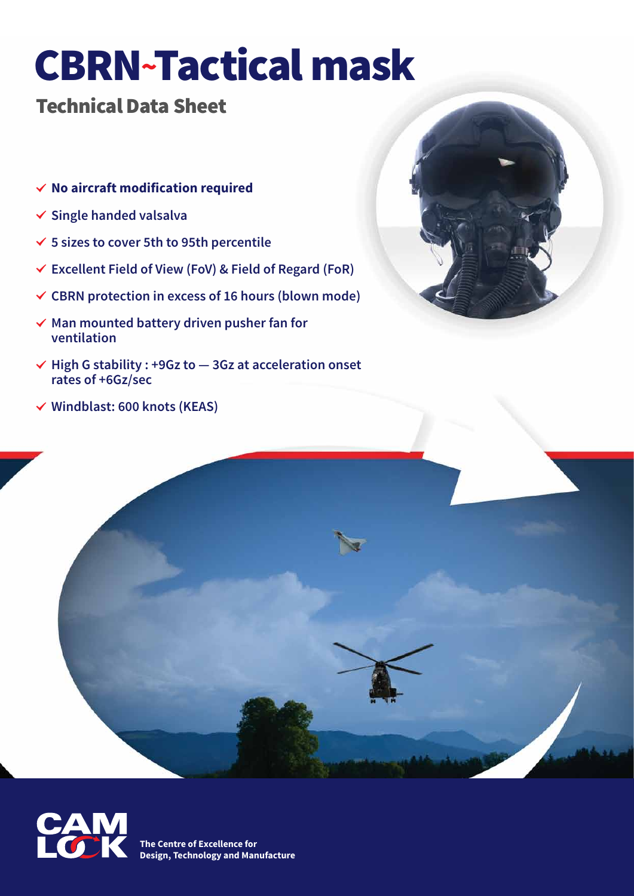# CBRN~Tactical mask

### Technical Data Sheet

- . **No aircraft modification required**
- . **Single handed valsalva**
- . **5 sizes to cover 5th to 95th percentile**
- . **Excellent Field of View (FoV) & Field of Regard (FoR)**
- . **CBRN protection in excess of 16 hours (blown mode)**
- . **Man mounted battery driven pusher fan for ventilation**
- . **High G stability : +9Gz to 3Gz at acceleration onset rates of +6Gz/sec**
- . **Windblast: 600 knots (KEAS)**





**The Centre of Excellence for Design, Technology and Manufacture**